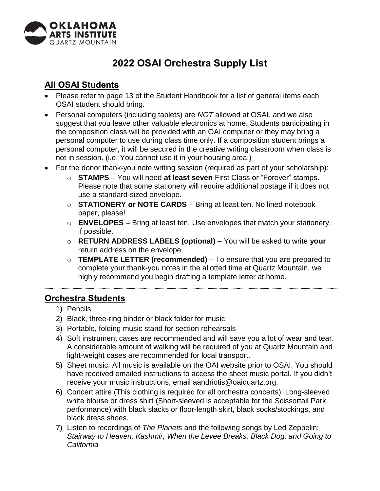

## **2022 OSAI Orchestra Supply List**

## **All OSAI Students**

- Please refer to page 13 of the Student Handbook for a list of general items each OSAI student should bring.
- Personal computers (including tablets) are *NOT* allowed at OSAI, and we also suggest that you leave other valuable electronics at home. Students participating in the composition class will be provided with an OAI computer or they may bring a personal computer to use during class time only. If a composition student brings a personal computer, it will be secured in the creative writing classroom when class is not in session. (i.e. You cannot use it in your housing area.)
- For the donor thank-you note writing session (required as part of your scholarship):
	- o **STAMPS**  You will need **at least seven** First Class or "Forever" stamps. Please note that some stationery will require additional postage if it does not use a standard-sized envelope.
	- o **STATIONERY or NOTE CARDS**  Bring at least ten. No lined notebook paper, please!
	- o **ENVELOPES**  Bring at least ten. Use envelopes that match your stationery, if possible.
	- o **RETURN ADDRESS LABELS (optional)**  You will be asked to write **your**  return address on the envelope.
	- o **TEMPLATE LETTER (recommended)**  To ensure that you are prepared to complete your thank-you notes in the allotted time at Quartz Mountain, we highly recommend you begin drafting a template letter at home.

## **Orchestra Students**

- 1) Pencils
- 2) Black, three-ring binder or black folder for music
- 3) Portable, folding music stand for section rehearsals
- 4) Soft instrument cases are recommended and will save you a lot of wear and tear. A considerable amount of walking will be required of you at Quartz Mountain and light-weight cases are recommended for local transport.
- 5) Sheet music: All music is available on the OAI website prior to OSAI. You should have received emailed instructions to access the sheet music portal. If you didn't receive your music instructions, email aandriotis@oaiquartz.org.
- 6) Concert attire (This clothing is required for all orchestra concerts): Long-sleeved white blouse or dress shirt (Short-sleeved is acceptable for the Scissortail Park performance) with black slacks or floor-length skirt, black socks/stockings, and black dress shoes.
- 7) Listen to recordings of *The Planets* and the following songs by Led Zeppelin: *Stairway to Heaven, Kashmir, When the Levee Breaks, Black Dog, and Going to California*